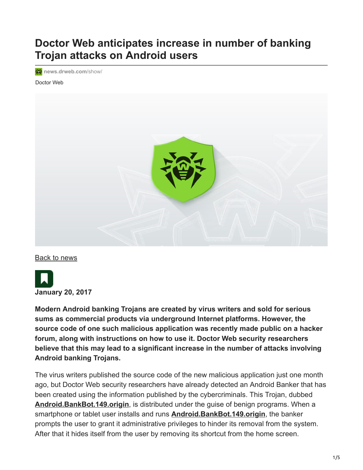## **Doctor Web anticipates increase in number of banking Trojan attacks on Android users**

**<sup>诊</sup>** [news.drweb.com](https://news.drweb.com/show/?i=11104&lng=en)/show/

Doctor Web



[Back to news](https://news.drweb.com/list/?p=0&lng=en&c=5)



**Modern Android banking Trojans are created by virus writers and sold for serious sums as commercial products via underground Internet platforms. However, the source code of one such malicious application was recently made public on a hacker forum, along with instructions on how to use it. Doctor Web security researchers believe that this may lead to a significant increase in the number of attacks involving Android banking Trojans.**

The virus writers published the source code of the new malicious application just one month ago, but Doctor Web security researchers have already detected an Android Banker that has been created using the information published by the cybercriminals. This Trojan, dubbed **[Android.BankBot.149.origin](https://vms.drweb.com/search/?q=Android.BankBot.149.origin&lng=en)**, is distributed under the guise of benign programs. When a smartphone or tablet user installs and runs **[Android.BankBot.149.origin](https://vms.drweb.com/search/?q=Android.BankBot.149.origin&lng=en)**, the banker prompts the user to grant it administrative privileges to hinder its removal from the system. After that it hides itself from the user by removing its shortcut from the home screen.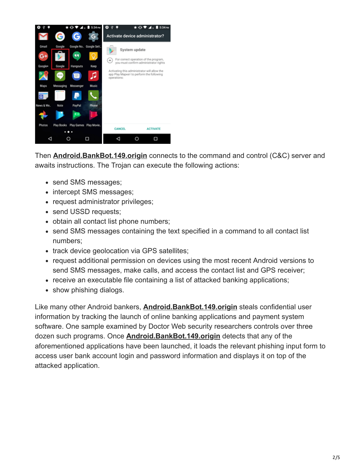

Then **[Android.BankBot.149.origin](https://vms.drweb.com/search/?q=Android.BankBot.149.origin&lng=en)** connects to the command and control (C&C) server and awaits instructions. The Trojan can execute the following actions:

- send SMS messages;
- intercept SMS messages;
- request administrator privileges;
- send USSD requests;
- obtain all contact list phone numbers;
- send SMS messages containing the text specified in a command to all contact list numbers;
- track device geolocation via GPS satellites;
- request additional permission on devices using the most recent Android versions to send SMS messages, make calls, and access the contact list and GPS receiver;
- receive an executable file containing a list of attacked banking applications;
- show phishing dialogs.

Like many other Android bankers, **[Android.BankBot.149.origin](https://vms.drweb.com/search/?q=Android.BankBot.149.origin&lng=en)** steals confidential user information by tracking the launch of online banking applications and payment system software. One sample examined by Doctor Web security researchers controls over three dozen such programs. Once **[Android.BankBot.149.origin](https://vms.drweb.com/search/?q=Android.BankBot.149.origin&lng=en)** detects that any of the aforementioned applications have been launched, it loads the relevant phishing input form to access user bank account login and password information and displays it on top of the attacked application.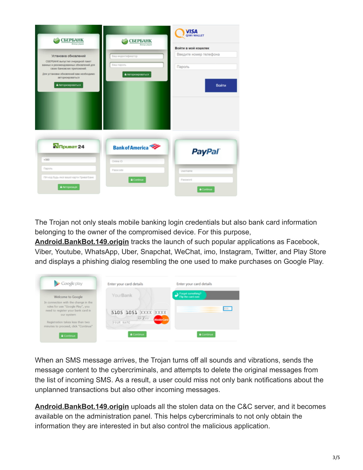| <b>СБЕРБАНК</b><br><b>Roman process</b>                                                                       | <b>СБЕРБАНК</b>        | <b>VISA</b>            |  |  |  |  |  |
|---------------------------------------------------------------------------------------------------------------|------------------------|------------------------|--|--|--|--|--|
|                                                                                                               | Всегда рядом           | Войти в мой кошелек    |  |  |  |  |  |
| Установка обновлений                                                                                          | Ваш индентификатор     | Введите номер телефона |  |  |  |  |  |
| СБЕРБАНК выпустил очередной пакет<br>вахоных и рекомендованных обновлений для<br>своих банковских приложений. | Bau napony             | Пароль                 |  |  |  |  |  |
| Для установки обновлений вам необходимо<br>авторизироваться                                                   | • Авторизироваться     |                        |  |  |  |  |  |
| • Авторизироваться                                                                                            |                        | Войти                  |  |  |  |  |  |
|                                                                                                               |                        |                        |  |  |  |  |  |
|                                                                                                               |                        |                        |  |  |  |  |  |
|                                                                                                               |                        |                        |  |  |  |  |  |
|                                                                                                               |                        |                        |  |  |  |  |  |
| <b>N</b> <sub>npusar</sub> 24                                                                                 |                        |                        |  |  |  |  |  |
|                                                                                                               | <b>Bank of America</b> | <b>PayPal</b>          |  |  |  |  |  |
| $+380$                                                                                                        | Online ID              |                        |  |  |  |  |  |
| <b><i><u>Rapons</u></i></b>                                                                                   | Passcode               | Usemane                |  |  |  |  |  |
| ПН-код будь-якої вашої карти ПриватБанк                                                                       | <b>A</b> Continue      | Password               |  |  |  |  |  |
| • Авторизація                                                                                                 |                        | Continue               |  |  |  |  |  |
|                                                                                                               |                        |                        |  |  |  |  |  |

The Trojan not only steals mobile banking login credentials but also bank card information belonging to the owner of the compromised device. For this purpose,

**[Android.BankBot.149.origin](https://vms.drweb.com/search/?q=Android.BankBot.149.origin&lng=en)** tracks the launch of such popular applications as Facebook, Viber, Youtube, WhatsApp, Uber, Snapchat, WeChat, imo, Instagram, Twitter, and Play Store and displays a phishing dialog resembling the one used to make purchases on Google Play.

| Google play                                                                                                                   | Enter your card details              | Enter your card details |  |  |  |
|-------------------------------------------------------------------------------------------------------------------------------|--------------------------------------|-------------------------|--|--|--|
| Welcome to Google                                                                                                             | YourBank                             | Forget something?       |  |  |  |
| In connection with the change in the<br>rules for use "Google Play", you<br>need to register your bank card in<br>our system. | 5105 1051 XXXX XXXX<br><b>MN XYY</b> | <b>JOOC</b>             |  |  |  |
| Registration takes less than two<br>minutes to proceed, click "Continue"                                                      | <b>MasterCard</b><br>YOUR NAME       |                         |  |  |  |
| Continue                                                                                                                      | <b>A</b> Continue                    | <b>a</b> Continue       |  |  |  |

When an SMS message arrives, the Trojan turns off all sounds and vibrations, sends the message content to the cybercriminals, and attempts to delete the original messages from the list of incoming SMS. As a result, a user could miss not only bank notifications about the unplanned transactions but also other incoming messages.

**[Android.BankBot.149.origin](https://vms.drweb.com/search/?q=Android.BankBot.149.origin&lng=en)** uploads all the stolen data on the C&C server, and it becomes available on the administration panel. This helps cybercriminals to not only obtain the information they are interested in but also control the malicious application.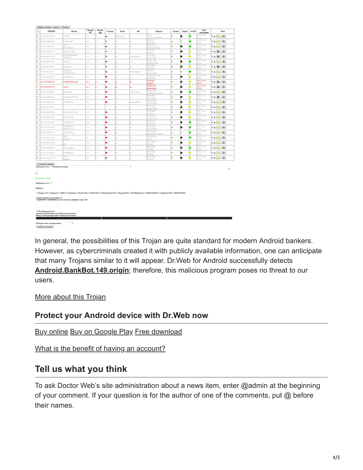| n<br>ь<br><b>63 Paines Press</b><br>LATOT<br>n<br><b>OZNIKISE PRITS</b><br>COST Lively<br><b>Texas</b><br>E.<br>When the party of<br>the phone and<br>$\sim$<br><b>CONSUMINATION</b><br>Office Edition<br><b>GA-KYIVSTATO</b><br>ь<br>DAVAS ARRESTS OF<br>67744<br>o<br><b>DESIGNERS ANTIQUE</b><br>(Sodinc)<br>E.<br>MegaFook<br>GYSTERS SEET<br>MegaFonl<br>e.<br>OF LEFTERED<br>WHY THE<br>O.<br>WINDOWS ARE<br>TURKCELLI<br>E.<br><b>STIMMERS</b><br><b><i>NODATONE TRI</i></b><br>e.<br><b>MOTOR BELLEVE</b><br>Trial's<br>ь<br><b>WELLINGTON FUEL OIL</b><br>Mend'em)<br>ь<br><b>IS4 NANOSIA PROTE</b><br>YODAFONE TRI<br>TURKCRILL<br><b>D</b><br><b>CONTRACTOR</b><br>a.<br><b>CONTRACTOR CONTRACTOR</b><br>ь<br><b>COLORADO DE CO</b><br><b>VODAJOPEL TRI</b><br>O.<br>Village and the<br>TR Barkeell)<br>E.<br>Old Francis Patrick<br>TURKCELLY<br>TURKCRILL<br>e.<br><b>COLES</b><br><b>CONTRACTOR</b><br>Game Tour<br>ь<br>of the month<br>TURKCELLI<br>(90)<br>e.<br>20 Sitte Council<br>6G<br>O.<br>W7 WEIGHT IN THE<br>×<br>E.<br><b>KYWORN HATM</b><br>Turk Telekoniz<br>e.<br><b>painters</b> elect<br>TURKERLLI<br>501<br>O.<br><b>Well-state-affiliate</b><br><b>Jeliani</b><br>Americans smarg<br>Duriginities Gorial - Duringaries consumery<br>z<br><b>Horspides excessed</b><br><b>Shariyansan Goraz</b> +<br><b>Howard</b><br>Первые СС Первый Перве Полерена Польщена, Питанска, Пута, Гарурска, Перверска, Первые дела, Паквалерта, Подавлерта, Первыходств,<br>Nannet sought an excess our<br>- Napoleon - Napoleon III, can wrot an excess out our line | Bosq | Версия<br>6c | Версия    | Crpans | <b>Lass</b> | AR.           | <b>Magazi</b>                            | Assess | <b>Jugan</b> | oriell | <b>Janu</b>                       | <b>Sex</b>                    |
|-------------------------------------------------------------------------------------------------------------------------------------------------------------------------------------------------------------------------------------------------------------------------------------------------------------------------------------------------------------------------------------------------------------------------------------------------------------------------------------------------------------------------------------------------------------------------------------------------------------------------------------------------------------------------------------------------------------------------------------------------------------------------------------------------------------------------------------------------------------------------------------------------------------------------------------------------------------------------------------------------------------------------------------------------------------------------------------------------------------------------------------------------------------------------------------------------------------------------------------------------------------------------------------------------------------------------------------------------------------------------------------------------------------------------------------------------------------------------------------------------------------------------------------------------------------------------------------|------|--------------|-----------|--------|-------------|---------------|------------------------------------------|--------|--------------|--------|-----------------------------------|-------------------------------|
|                                                                                                                                                                                                                                                                                                                                                                                                                                                                                                                                                                                                                                                                                                                                                                                                                                                                                                                                                                                                                                                                                                                                                                                                                                                                                                                                                                                                                                                                                                                                                                                     |      | 412          | agh<br>J. |        | 3440, 361   |               | 2216<br>1729, 1988-8890                  |        | ۰            |        | squarers<br>111-01-00<br>$5 - 17$ | $-1.1$                        |
|                                                                                                                                                                                                                                                                                                                                                                                                                                                                                                                                                                                                                                                                                                                                                                                                                                                                                                                                                                                                                                                                                                                                                                                                                                                                                                                                                                                                                                                                                                                                                                                     |      | 14.2         | L1        |        |             |               | <b>OULITIES</b>                          | ٠      |              |        | 30.00.31.00                       | $-10.14$                      |
|                                                                                                                                                                                                                                                                                                                                                                                                                                                                                                                                                                                                                                                                                                                                                                                                                                                                                                                                                                                                                                                                                                                                                                                                                                                                                                                                                                                                                                                                                                                                                                                     |      | 44.2         | u.        |        | ha.         |               | m343god<br>have L500                     | w      | ۰            |        | $-1/2$<br>311-83-08               | 0  A                          |
|                                                                                                                                                                                                                                                                                                                                                                                                                                                                                                                                                                                                                                                                                                                                                                                                                                                                                                                                                                                                                                                                                                                                                                                                                                                                                                                                                                                                                                                                                                                                                                                     |      | 44.2         | u.        | -      | in 1        |               | (44) Jeann, Ullind.<br><b>kit cross</b>  |        | ۰            |        | 1.11<br>1114100                   | $-1.4$                        |
|                                                                                                                                                                                                                                                                                                                                                                                                                                                                                                                                                                                                                                                                                                                                                                                                                                                                                                                                                                                                                                                                                                                                                                                                                                                                                                                                                                                                                                                                                                                                                                                     |      | 11.7         | L.        |        |             | 160 Serveiry  | <b>Correla</b><br><b>GT-N1000</b>        |        | ۰            |        | 501<br>911-83-06                  |                               |
|                                                                                                                                                                                                                                                                                                                                                                                                                                                                                                                                                                                                                                                                                                                                                                                                                                                                                                                                                                                                                                                                                                                                                                                                                                                                                                                                                                                                                                                                                                                                                                                     |      |              |           |        |             |               | <b>GT-S7900</b><br><b>bishot Tab</b>     |        |              |        | $-11$<br>$31 - 83 - 09$           | $-1011$                       |
|                                                                                                                                                                                                                                                                                                                                                                                                                                                                                                                                                                                                                                                                                                                                                                                                                                                                                                                                                                                                                                                                                                                                                                                                                                                                                                                                                                                                                                                                                                                                                                                     |      | 642          | O.        | -      | her.        |               | Resident Tabi<br><b>M.7398</b>           | v      | ۰            |        | 12.01<br>111.01.09                | $-1018$                       |
|                                                                                                                                                                                                                                                                                                                                                                                                                                                                                                                                                                                                                                                                                                                                                                                                                                                                                                                                                                                                                                                                                                                                                                                                                                                                                                                                                                                                                                                                                                                                                                                     |      | 5.1.1        | u         |        | is.         |               | 173,653<br><b>TML-8005</b>               | ú      | ۰            |        | $0 - 47$<br>911-83-19             | $-1.0$                        |
|                                                                                                                                                                                                                                                                                                                                                                                                                                                                                                                                                                                                                                                                                                                                                                                                                                                                                                                                                                                                                                                                                                                                                                                                                                                                                                                                                                                                                                                                                                                                                                                     | 13   |              | L.        | -      | u           | 180 Samating  | arte xxlit                               | v      | w            |        | 631                               | 0.48                          |
|                                                                                                                                                                                                                                                                                                                                                                                                                                                                                                                                                                                                                                                                                                                                                                                                                                                                                                                                                                                                                                                                                                                                                                                                                                                                                                                                                                                                                                                                                                                                                                                     |      | 44.2         | u.        | ▄      | W.          |               | URKCELL T50<br><b>PERTY SOL</b>          | ø      | ۰            |        | 911-93-10<br><b>ECK</b>           | $A = 0$                       |
|                                                                                                                                                                                                                                                                                                                                                                                                                                                                                                                                                                                                                                                                                                                                                                                                                                                                                                                                                                                                                                                                                                                                                                                                                                                                                                                                                                                                                                                                                                                                                                                     |      | Sit E        | 23        | ۰      | ÷           |               | <b>OTJHON</b><br>m <sub>200</sub>        | ö      | ۰            |        | 2011-01-00<br>842                 | $-1.4$                        |
|                                                                                                                                                                                                                                                                                                                                                                                                                                                                                                                                                                                                                                                                                                                                                                                                                                                                                                                                                                                                                                                                                                                                                                                                                                                                                                                                                                                                                                                                                                                                                                                     |      | 443          | m         |        | w           |               | 636-03158<br>(lamb/pa)                   | v      | ö            |        | 907-80-19<br><b>BOY</b>           | $-141$                        |
|                                                                                                                                                                                                                                                                                                                                                                                                                                                                                                                                                                                                                                                                                                                                                                                                                                                                                                                                                                                                                                                                                                                                                                                                                                                                                                                                                                                                                                                                                                                                                                                     |      | 93.1         | a.        | ۰      | w           | Mil Security) | M-031B<br>padpinrer/go)                  |        | ۰            |        | $311 - 42 - 13$<br>$0 - 11$       | 4.4                           |
|                                                                                                                                                                                                                                                                                                                                                                                                                                                                                                                                                                                                                                                                                                                                                                                                                                                                                                                                                                                                                                                                                                                                                                                                                                                                                                                                                                                                                                                                                                                                                                                     |      | 136          | L.        |        |             |               | <b>STAMMI</b><br>07-59890                |        | ö            |        | 3111-01-13<br>831                 | $-1.4$                        |
|                                                                                                                                                                                                                                                                                                                                                                                                                                                                                                                                                                                                                                                                                                                                                                                                                                                                                                                                                                                                                                                                                                                                                                                                                                                                                                                                                                                                                                                                                                                                                                                     |      | 3.3 di       | U.        | ۰      | u.          | Clean Master) | <b>GTAWAIO</b><br><b>ECP RAYOODS</b>     | u      | ö            |        | 911-01-13<br>17.06                | 0   0   0                     |
|                                                                                                                                                                                                                                                                                                                                                                                                                                                                                                                                                                                                                                                                                                                                                                                                                                                                                                                                                                                                                                                                                                                                                                                                                                                                                                                                                                                                                                                                                                                                                                                     |      | 433          | a.        |        | w           |               | projecto                                 | ٠      | ۰            |        | 311-83-13<br>0<                   | $-1.4$                        |
|                                                                                                                                                                                                                                                                                                                                                                                                                                                                                                                                                                                                                                                                                                                                                                                                                                                                                                                                                                                                                                                                                                                                                                                                                                                                                                                                                                                                                                                                                                                                                                                     |      | $1 - 1 - 1$  | u.        |        | ×.          |               | <b>Tyleproduce</b><br><b>CLE EXAMPLE</b> |        | ۰            |        | 01140-13<br>14                    | $-10.14$                      |
|                                                                                                                                                                                                                                                                                                                                                                                                                                                                                                                                                                                                                                                                                                                                                                                                                                                                                                                                                                                                                                                                                                                                                                                                                                                                                                                                                                                                                                                                                                                                                                                     |      | 13.6         | u.        | ۰      | u.          |               | (5200)<br>16551                          | ø      | ۰            |        | 51404                             | $-111$                        |
|                                                                                                                                                                                                                                                                                                                                                                                                                                                                                                                                                                                                                                                                                                                                                                                                                                                                                                                                                                                                                                                                                                                                                                                                                                                                                                                                                                                                                                                                                                                                                                                     |      | 136          | U.        |        | w           |               | EIT ANY TOD<br><b>krosser</b>            | ö      | ۰            |        | <b>DICT</b><br>$7811 - 012 - 13$  | $-100 - 100$                  |
|                                                                                                                                                                                                                                                                                                                                                                                                                                                                                                                                                                                                                                                                                                                                                                                                                                                                                                                                                                                                                                                                                                                                                                                                                                                                                                                                                                                                                                                                                                                                                                                     |      | 136          | L1        |        |             |               | 07-56100<br><b>GT-83830</b>              |        | ۰            |        | $0 - 0.0$<br>311-83-15            | 0.01                          |
|                                                                                                                                                                                                                                                                                                                                                                                                                                                                                                                                                                                                                                                                                                                                                                                                                                                                                                                                                                                                                                                                                                                                                                                                                                                                                                                                                                                                                                                                                                                                                                                     |      |              |           |        | w           |               | C/E-6/06 MG<br><b>MAGUIN</b>             |        |              |        | w<br>$91 - 49 - 13$               |                               |
|                                                                                                                                                                                                                                                                                                                                                                                                                                                                                                                                                                                                                                                                                                                                                                                                                                                                                                                                                                                                                                                                                                                                                                                                                                                                                                                                                                                                                                                                                                                                                                                     |      | 11           | s.        | ۰      | ×           |               | readement of good.<br><b>CASE Pas</b>    |        | w            |        | <b>COLOR</b><br>911-83-15         | 9   9   2                     |
|                                                                                                                                                                                                                                                                                                                                                                                                                                                                                                                                                                                                                                                                                                                                                                                                                                                                                                                                                                                                                                                                                                                                                                                                                                                                                                                                                                                                                                                                                                                                                                                     | i n  |              | L1        |        |             |               | <b>Pb</b> di                             |        | o            |        | O shi                             | $-0.14$                       |
|                                                                                                                                                                                                                                                                                                                                                                                                                                                                                                                                                                                                                                                                                                                                                                                                                                                                                                                                                                                                                                                                                                                                                                                                                                                                                                                                                                                                                                                                                                                                                                                     |      | 1.1          | U.        | ۰      | han.        |               | M-200H<br> argE(t)                       | v      | ۰            |        | $91 - 49 - 13$<br>17.00           | 0   0   0                     |
|                                                                                                                                                                                                                                                                                                                                                                                                                                                                                                                                                                                                                                                                                                                                                                                                                                                                                                                                                                                                                                                                                                                                                                                                                                                                                                                                                                                                                                                                                                                                                                                     |      | 5.1.1        | u.        | ×      | icis        |               | <b>M. 270110</b><br>173,668              | ٠      | ۰            |        | 331-83-13<br>3.00                 | $-0.4$                        |
|                                                                                                                                                                                                                                                                                                                                                                                                                                                                                                                                                                                                                                                                                                                                                                                                                                                                                                                                                                                                                                                                                                                                                                                                                                                                                                                                                                                                                                                                                                                                                                                     |      | 111          | L.        |        | u           |               | <b>W.P.MIN</b><br>6 kpod                 |        | ۰            |        | 937-83-15<br>H                    | 0.141                         |
|                                                                                                                                                                                                                                                                                                                                                                                                                                                                                                                                                                                                                                                                                                                                                                                                                                                                                                                                                                                                                                                                                                                                                                                                                                                                                                                                                                                                                                                                                                                                                                                     |      | (元)          | J.        | ⊨      | o.          |               | M-2016<br>O'lessi                        |        | ō            |        | $11 - 12 - 12$<br>0.11            | $0$ $\mathbf{a}$ $\mathbf{a}$ |
|                                                                                                                                                                                                                                                                                                                                                                                                                                                                                                                                                                                                                                                                                                                                                                                                                                                                                                                                                                                                                                                                                                                                                                                                                                                                                                                                                                                                                                                                                                                                                                                     |      |              |           |        |             | ٠             |                                          |        |              |        |                                   |                               |
|                                                                                                                                                                                                                                                                                                                                                                                                                                                                                                                                                                                                                                                                                                                                                                                                                                                                                                                                                                                                                                                                                                                                                                                                                                                                                                                                                                                                                                                                                                                                                                                     |      |              |           |        |             |               |                                          |        |              |        |                                   |                               |
|                                                                                                                                                                                                                                                                                                                                                                                                                                                                                                                                                                                                                                                                                                                                                                                                                                                                                                                                                                                                                                                                                                                                                                                                                                                                                                                                                                                                                                                                                                                                                                                     |      |              |           |        |             |               |                                          |        |              |        |                                   |                               |
|                                                                                                                                                                                                                                                                                                                                                                                                                                                                                                                                                                                                                                                                                                                                                                                                                                                                                                                                                                                                                                                                                                                                                                                                                                                                                                                                                                                                                                                                                                                                                                                     |      |              |           |        |             |               |                                          |        |              |        |                                   |                               |
|                                                                                                                                                                                                                                                                                                                                                                                                                                                                                                                                                                                                                                                                                                                                                                                                                                                                                                                                                                                                                                                                                                                                                                                                                                                                                                                                                                                                                                                                                                                                                                                     |      |              |           |        |             |               |                                          |        |              |        |                                   |                               |
|                                                                                                                                                                                                                                                                                                                                                                                                                                                                                                                                                                                                                                                                                                                                                                                                                                                                                                                                                                                                                                                                                                                                                                                                                                                                                                                                                                                                                                                                                                                                                                                     |      |              |           |        |             |               |                                          |        |              |        |                                   |                               |
|                                                                                                                                                                                                                                                                                                                                                                                                                                                                                                                                                                                                                                                                                                                                                                                                                                                                                                                                                                                                                                                                                                                                                                                                                                                                                                                                                                                                                                                                                                                                                                                     |      |              |           |        |             |               |                                          |        |              |        |                                   |                               |
|                                                                                                                                                                                                                                                                                                                                                                                                                                                                                                                                                                                                                                                                                                                                                                                                                                                                                                                                                                                                                                                                                                                                                                                                                                                                                                                                                                                                                                                                                                                                                                                     |      |              |           |        |             |               |                                          |        |              |        |                                   |                               |
| Пальная менения                                                                                                                                                                                                                                                                                                                                                                                                                                                                                                                                                                                                                                                                                                                                                                                                                                                                                                                                                                                                                                                                                                                                                                                                                                                                                                                                                                                                                                                                                                                                                                     |      |              |           |        |             |               |                                          |        |              |        |                                   |                               |
| Автоном СВОЛ приняли (1411 в ответ) главно-<br><b>Нику Ситатуа простали Ситатуа полятия</b>                                                                                                                                                                                                                                                                                                                                                                                                                                                                                                                                                                                                                                                                                                                                                                                                                                                                                                                                                                                                                                                                                                                                                                                                                                                                                                                                                                                                                                                                                         |      |              |           |        |             |               |                                          |        |              |        |                                   |                               |
|                                                                                                                                                                                                                                                                                                                                                                                                                                                                                                                                                                                                                                                                                                                                                                                                                                                                                                                                                                                                                                                                                                                                                                                                                                                                                                                                                                                                                                                                                                                                                                                     |      |              |           |        |             |               |                                          |        |              |        |                                   |                               |

In general, the possibilities of this Trojan are quite standard for modern Android bankers. However, as cybercriminals created it with publicly available information, one can anticipate that many Trojans similar to it will appear. Dr.Web for Android successfully detects **[Android.BankBot.149.origin](https://vms.drweb.com/search/?q=Android.BankBot.149.origin&lng=en)**; therefore, this malicious program poses no threat to our users.

[More about this Trojan](https://vms.drweb.com/virus/?i=14895561&lng=en)

## **Protect your Android device with Dr.Web now**

[Buy online](https://estore.drweb.com/home/?lng=en) [Buy on Google Play](http://f2.drweb.com/lr/?to=https%3A%2F%2Fplay.google.com%2Fstore%2Fapps%2Fdetails%3Fid%3Dcom.drweb.pro) [Free download](https://support.drweb.com/free_mobile/?lng=en)

[What is the benefit of having an account?](https://www.drweb.com/user/advantages/?lng=en)

## **Tell us what you think**

To ask Doctor Web's site administration about a news item, enter @admin at the beginning of your comment. If your question is for the author of one of the comments, put @ before their names.